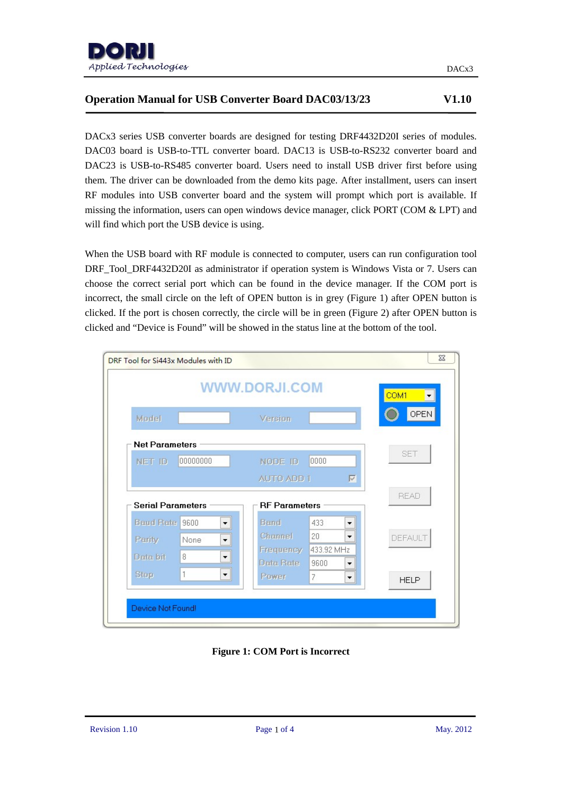

# **Operation Manual for USB Converter Board DAC03/13/23 V1.10**

DACx3 series USB converter boards are designed for testing DRF4432D20I series of modules. DAC03 board is USB-to-TTL converter board. DAC13 is USB-to-RS232 converter board and DAC23 is USB-to-RS485 converter board. Users need to install USB driver first before using them. The driver can be downloaded from the demo kits page. After installment, users can insert RF modules into USB converter board and the system will prompt which port is available. If missing the information, users can open windows device manager, click PORT (COM & LPT) and will find which port the USB device is using.

When the USB board with RF module is connected to computer, users can run configuration tool DRF\_Tool\_DRF4432D20I as administrator if operation system is Windows Vista or 7. Users can choose the correct serial port which can be found in the device manager. If the COM port is incorrect, the small circle on the left of OPEN button is in grey (Figure 1) after OPEN button is clicked. If the port is chosen correctly, the circle will be in green (Figure 2) after OPEN button is clicked and "Device is Found" will be showed in the status line at the bottom of the tool.



**Figure 1: COM Port is Incorrect**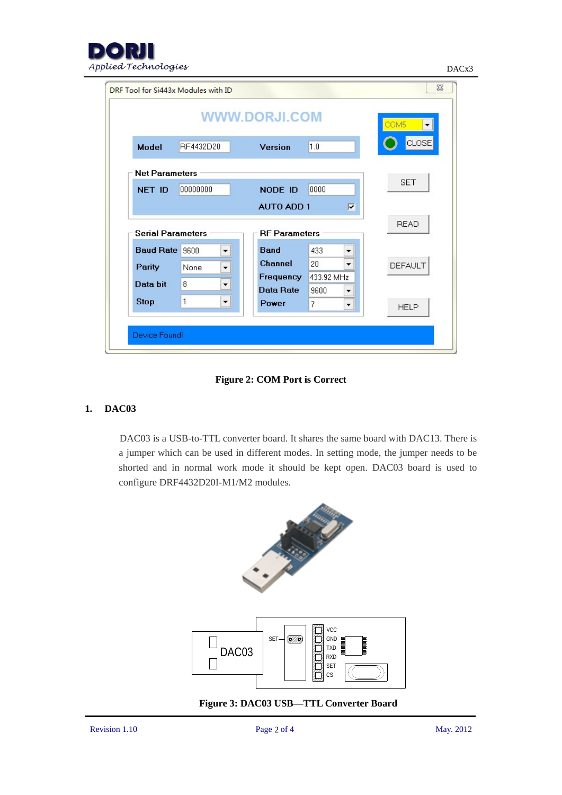

DACx3

|                                                                  |                              |                               |                         | COM5           |
|------------------------------------------------------------------|------------------------------|-------------------------------|-------------------------|----------------|
| <b>Model</b>                                                     | RF4432D20                    | Version                       | 1.0                     | CLOSE          |
| <b>Net Parameters</b>                                            |                              |                               |                         |                |
| <b>NET ID</b>                                                    | 00000000                     | NODE ID                       | 0000                    | <b>SET</b>     |
|                                                                  |                              |                               |                         |                |
|                                                                  |                              | <b>AUTO ADD 1</b>             | $\overline{v}$          |                |
|                                                                  |                              | <b>RF</b> Parameters          |                         | <b>READ</b>    |
|                                                                  | ۰                            | <b>Band</b>                   | 433<br>۰                |                |
|                                                                  | None<br>$\blacktriangledown$ | Channel                       | 20<br>▼                 | <b>DEFAULT</b> |
| <b>Serial Parameters</b><br>Baud Rate 9600<br>Parity<br>Data bit | 8<br>۰                       | Frequency<br><b>Data Rate</b> | 433.92 MHz<br>9600<br>▼ |                |

#### **Figure 2: COM Port is Correct**

### **1. DAC03**

DAC03 is a USB-to-TTL converter board. It shares the same board with DAC13. There is a jumper which can be used in different modes. In setting mode, the jumper needs to be shorted and in normal work mode it should be kept open. DAC03 board is used to configure DRF4432D20I-M1/M2 modules.



**Figure 3: DAC03 USB—TTL Converter Board**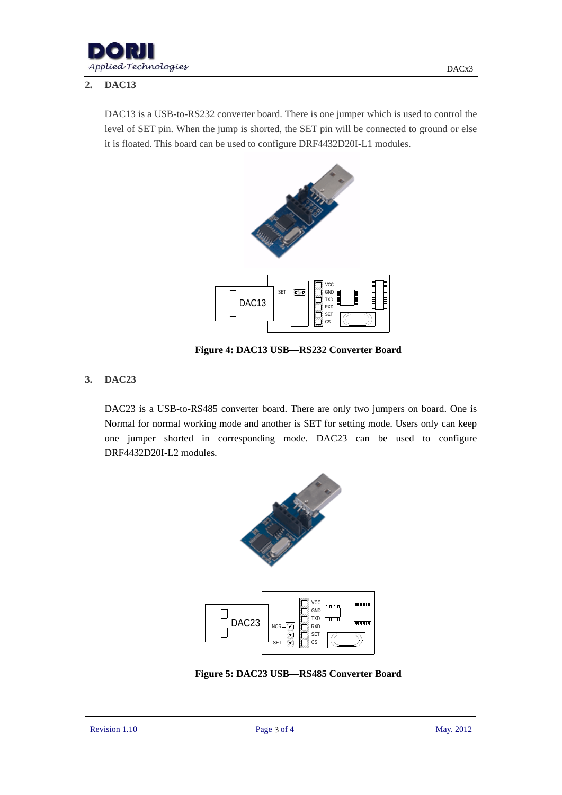

# **2. DAC13**

DAC13 is a USB-to-RS232 converter board. There is one jumper which is used to control the level of SET pin. When the jump is shorted, the SET pin will be connected to ground or else it is floated. This board can be used to configure DRF4432D20I-L1 modules.



**Figure 4: DAC13 USB—RS232 Converter Board**

# **3. DAC23**

DAC23 is a USB-to-RS485 converter board. There are only two jumpers on board. One is Normal for normal working mode and another is SET for setting mode. Users only can keep one jumper shorted in corresponding mode. DAC23 can be used to configure DRF4432D20I-L2 modules.



**Figure 5: DAC23 USB—RS485 Converter Board**